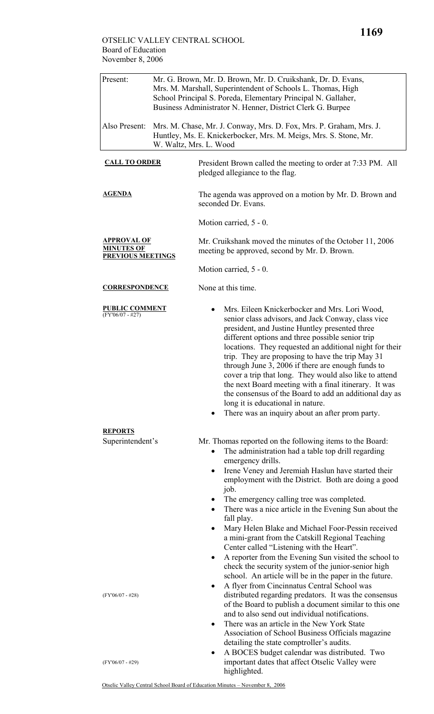| Present:                                                            | Mr. G. Brown, Mr. D. Brown, Mr. D. Cruikshank, Dr. D. Evans,<br>Mrs. M. Marshall, Superintendent of Schools L. Thomas, High<br>School Principal S. Poreda, Elementary Principal N. Gallaher,<br>Business Administrator N. Henner, District Clerk G. Burpee |                                                                                                                                                                                                                                                                                                                                                                                                                                                                                                                                                                                                                                                                                 |  |  |
|---------------------------------------------------------------------|------------------------------------------------------------------------------------------------------------------------------------------------------------------------------------------------------------------------------------------------------------|---------------------------------------------------------------------------------------------------------------------------------------------------------------------------------------------------------------------------------------------------------------------------------------------------------------------------------------------------------------------------------------------------------------------------------------------------------------------------------------------------------------------------------------------------------------------------------------------------------------------------------------------------------------------------------|--|--|
| Also Present:                                                       |                                                                                                                                                                                                                                                            | Mrs. M. Chase, Mr. J. Conway, Mrs. D. Fox, Mrs. P. Graham, Mrs. J.<br>Huntley, Ms. E. Knickerbocker, Mrs. M. Meigs, Mrs. S. Stone, Mr.<br>W. Waltz, Mrs. L. Wood                                                                                                                                                                                                                                                                                                                                                                                                                                                                                                                |  |  |
| <b>CALL TO ORDER</b>                                                |                                                                                                                                                                                                                                                            | President Brown called the meeting to order at 7:33 PM. All<br>pledged allegiance to the flag.                                                                                                                                                                                                                                                                                                                                                                                                                                                                                                                                                                                  |  |  |
| <b>AGENDA</b>                                                       |                                                                                                                                                                                                                                                            | The agenda was approved on a motion by Mr. D. Brown and<br>seconded Dr. Evans.                                                                                                                                                                                                                                                                                                                                                                                                                                                                                                                                                                                                  |  |  |
|                                                                     |                                                                                                                                                                                                                                                            | Motion carried, 5 - 0.                                                                                                                                                                                                                                                                                                                                                                                                                                                                                                                                                                                                                                                          |  |  |
| <b>APPROVAL OF</b><br><b>MINUTES OF</b><br><b>PREVIOUS MEETINGS</b> |                                                                                                                                                                                                                                                            | Mr. Cruikshank moved the minutes of the October 11, 2006<br>meeting be approved, second by Mr. D. Brown.                                                                                                                                                                                                                                                                                                                                                                                                                                                                                                                                                                        |  |  |
|                                                                     |                                                                                                                                                                                                                                                            | Motion carried, 5 - 0.                                                                                                                                                                                                                                                                                                                                                                                                                                                                                                                                                                                                                                                          |  |  |
| <b>CORRESPONDENCE</b>                                               |                                                                                                                                                                                                                                                            | None at this time.                                                                                                                                                                                                                                                                                                                                                                                                                                                                                                                                                                                                                                                              |  |  |
| <b>PUBLIC COMMENT</b><br>$(FY'06/07 - #27)$                         |                                                                                                                                                                                                                                                            | Mrs. Eileen Knickerbocker and Mrs. Lori Wood,<br>senior class advisors, and Jack Conway, class vice<br>president, and Justine Huntley presented three<br>different options and three possible senior trip<br>locations. They requested an additional night for their<br>trip. They are proposing to have the trip May 31<br>through June 3, 2006 if there are enough funds to<br>cover a trip that long. They would also like to attend<br>the next Board meeting with a final itinerary. It was<br>the consensus of the Board to add an additional day as<br>long it is educational in nature.<br>There was an inquiry about an after prom party.                              |  |  |
| <b>REPORTS</b><br>Superintendent's                                  |                                                                                                                                                                                                                                                            | Mr. Thomas reported on the following items to the Board:                                                                                                                                                                                                                                                                                                                                                                                                                                                                                                                                                                                                                        |  |  |
|                                                                     |                                                                                                                                                                                                                                                            | The administration had a table top drill regarding<br>emergency drills.<br>Irene Veney and Jeremiah Haslun have started their<br>$\bullet$<br>employment with the District. Both are doing a good<br>job.<br>The emergency calling tree was completed.<br>$\bullet$<br>There was a nice article in the Evening Sun about the<br>fall play.<br>Mary Helen Blake and Michael Foor-Pessin received<br>٠<br>a mini-grant from the Catskill Regional Teaching<br>Center called "Listening with the Heart".<br>A reporter from the Evening Sun visited the school to<br>check the security system of the junior-senior high<br>school. An article will be in the paper in the future. |  |  |
| $(FY'06/07 - #28)$                                                  |                                                                                                                                                                                                                                                            | A flyer from Cincinnatus Central School was<br>distributed regarding predators. It was the consensus<br>of the Board to publish a document similar to this one<br>and to also send out individual notifications.<br>There was an article in the New York State<br>٠<br>Association of School Business Officials magazine<br>detailing the state comptroller's audits.<br>A BOCES budget calendar was distributed. Two                                                                                                                                                                                                                                                           |  |  |
| $(FY'06/07 - #29)$                                                  |                                                                                                                                                                                                                                                            | important dates that affect Otselic Valley were<br>highlighted.                                                                                                                                                                                                                                                                                                                                                                                                                                                                                                                                                                                                                 |  |  |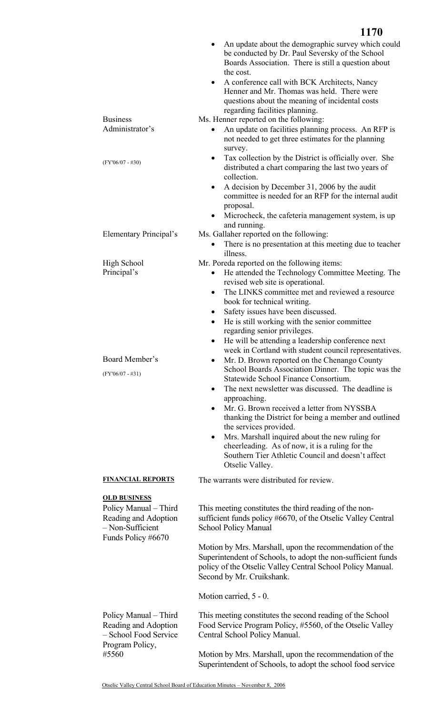|                                                                                                                | <b>1170</b>                                                                                                                                                                                                                                                                                                                                                                                                                                                                                                                                                                                                                                                                                                                                                                                                                                                                                                                                                                                                                                                                                   |
|----------------------------------------------------------------------------------------------------------------|-----------------------------------------------------------------------------------------------------------------------------------------------------------------------------------------------------------------------------------------------------------------------------------------------------------------------------------------------------------------------------------------------------------------------------------------------------------------------------------------------------------------------------------------------------------------------------------------------------------------------------------------------------------------------------------------------------------------------------------------------------------------------------------------------------------------------------------------------------------------------------------------------------------------------------------------------------------------------------------------------------------------------------------------------------------------------------------------------|
|                                                                                                                | An update about the demographic survey which could<br>be conducted by Dr. Paul Seversky of the School<br>Boards Association. There is still a question about<br>the cost.<br>A conference call with BCK Architects, Nancy<br>$\bullet$<br>Henner and Mr. Thomas was held. There were<br>questions about the meaning of incidental costs<br>regarding facilities planning.                                                                                                                                                                                                                                                                                                                                                                                                                                                                                                                                                                                                                                                                                                                     |
| <b>Business</b><br>Administrator's                                                                             | Ms. Henner reported on the following:<br>An update on facilities planning process. An RFP is<br>٠<br>not needed to get three estimates for the planning<br>survey.                                                                                                                                                                                                                                                                                                                                                                                                                                                                                                                                                                                                                                                                                                                                                                                                                                                                                                                            |
| $(FY'06/07 - #30)$                                                                                             | Tax collection by the District is officially over. She<br>$\bullet$<br>distributed a chart comparing the last two years of<br>collection.<br>A decision by December 31, 2006 by the audit<br>$\bullet$<br>committee is needed for an RFP for the internal audit<br>proposal.<br>Microcheck, the cafeteria management system, is up<br>and running.                                                                                                                                                                                                                                                                                                                                                                                                                                                                                                                                                                                                                                                                                                                                            |
| Elementary Principal's                                                                                         | Ms. Gallaher reported on the following:<br>There is no presentation at this meeting due to teacher<br>$\bullet$<br>illness.                                                                                                                                                                                                                                                                                                                                                                                                                                                                                                                                                                                                                                                                                                                                                                                                                                                                                                                                                                   |
| <b>High School</b><br>Principal's<br>Board Member's<br>$(FY'06/07 - #31)$                                      | Mr. Poreda reported on the following items:<br>He attended the Technology Committee Meeting. The<br>revised web site is operational.<br>The LINKS committee met and reviewed a resource<br>$\bullet$<br>book for technical writing.<br>Safety issues have been discussed.<br>$\bullet$<br>He is still working with the senior committee<br>$\bullet$<br>regarding senior privileges.<br>• He will be attending a leadership conference next<br>week in Cortland with student council representatives.<br>Mr. D. Brown reported on the Chenango County<br>$\bullet$<br>School Boards Association Dinner. The topic was the<br>Statewide School Finance Consortium.<br>The next newsletter was discussed. The deadline is<br>$\bullet$<br>approaching.<br>Mr. G. Brown received a letter from NYSSBA<br>$\bullet$<br>thanking the District for being a member and outlined<br>the services provided.<br>Mrs. Marshall inquired about the new ruling for<br>$\bullet$<br>cheerleading. As of now, it is a ruling for the<br>Southern Tier Athletic Council and doesn't affect<br>Otselic Valley. |
| <b>FINANCIAL REPORTS</b>                                                                                       | The warrants were distributed for review.                                                                                                                                                                                                                                                                                                                                                                                                                                                                                                                                                                                                                                                                                                                                                                                                                                                                                                                                                                                                                                                     |
| <b>OLD BUSINESS</b><br>Policy Manual - Third<br>Reading and Adoption<br>- Non-Sufficient<br>Funds Policy #6670 | This meeting constitutes the third reading of the non-<br>sufficient funds policy #6670, of the Otselic Valley Central<br><b>School Policy Manual</b><br>Motion by Mrs. Marshall, upon the recommendation of the<br>Superintendent of Schools, to adopt the non-sufficient funds<br>policy of the Otselic Valley Central School Policy Manual.<br>Second by Mr. Cruikshank.<br>Motion carried, 5 - 0.                                                                                                                                                                                                                                                                                                                                                                                                                                                                                                                                                                                                                                                                                         |
| Policy Manual – Third<br>Reading and Adoption<br>- School Food Service<br>Program Policy,<br>#5560             | This meeting constitutes the second reading of the School<br>Food Service Program Policy, #5560, of the Otselic Valley<br>Central School Policy Manual.<br>Motion by Mrs. Marshall, upon the recommendation of the<br>Superintendent of Schools, to adopt the school food service                                                                                                                                                                                                                                                                                                                                                                                                                                                                                                                                                                                                                                                                                                                                                                                                             |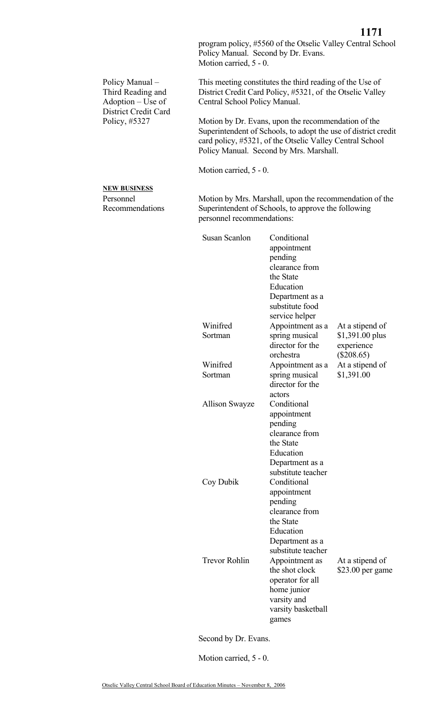**1171** program policy, #5560 of the Otselic Valley Central School Policy Manual. Second by Dr. Evans. Motion carried, 5 - 0.

This meeting constitutes the third reading of the Use of District Credit Card Policy, #5321, of the Otselic Valley Central School Policy Manual.

Motion by Dr. Evans, upon the recommendation of the Superintendent of Schools, to adopt the use of district credit card policy, #5321, of the Otselic Valley Central School Policy Manual. Second by Mrs. Marshall.

Motion carried, 5 - 0.

## **NEW BUSINESS**

Policy Manual – Third Reading and Adoption – Use of District Credit Card

Policy, #5327

Personnel Recommendations Motion by Mrs. Marshall, upon the recommendation of the Superintendent of Schools, to approve the following personnel recommendations:

| <b>Susan Scanlon</b>  | Conditional        |                  |
|-----------------------|--------------------|------------------|
|                       | appointment        |                  |
|                       | pending            |                  |
|                       | clearance from     |                  |
|                       | the State          |                  |
|                       | Education          |                  |
|                       | Department as a    |                  |
|                       | substitute food    |                  |
|                       | service helper     |                  |
| Winifred              | Appointment as a   | At a stipend of  |
| Sortman               | spring musical     | $$1,391.00$ plus |
|                       | director for the   | experience       |
|                       | orchestra          | $(\$208.65)$     |
| Winifred              | Appointment as a   | At a stipend of  |
| Sortman               | spring musical     | \$1,391.00       |
|                       | director for the   |                  |
|                       | actors             |                  |
| <b>Allison Swayze</b> | Conditional        |                  |
|                       | appointment        |                  |
|                       | pending            |                  |
|                       | clearance from     |                  |
|                       | the State          |                  |
|                       | Education          |                  |
|                       | Department as a    |                  |
|                       | substitute teacher |                  |
| Coy Dubik             | Conditional        |                  |
|                       | appointment        |                  |
|                       | pending            |                  |
|                       | clearance from     |                  |
|                       | the State          |                  |
|                       | Education          |                  |
|                       | Department as a    |                  |
|                       | substitute teacher |                  |
| <b>Trevor Rohlin</b>  | Appointment as     | At a stipend of  |
|                       | the shot clock     | \$23.00 per game |
|                       | operator for all   |                  |
|                       | home junior        |                  |
|                       | varsity and        |                  |
|                       | varsity basketball |                  |
|                       | games              |                  |

Second by Dr. Evans.

Motion carried, 5 - 0.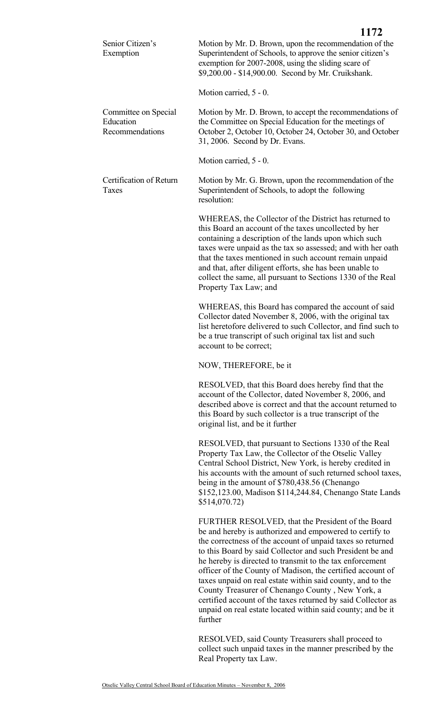|                                                      | 1172                                                                                                                                                                                                                                                                                                                                                                                                                                                  |
|------------------------------------------------------|-------------------------------------------------------------------------------------------------------------------------------------------------------------------------------------------------------------------------------------------------------------------------------------------------------------------------------------------------------------------------------------------------------------------------------------------------------|
| Senior Citizen's<br>Exemption                        | Motion by Mr. D. Brown, upon the recommendation of the<br>Superintendent of Schools, to approve the senior citizen's<br>exemption for 2007-2008, using the sliding scare of<br>\$9,200.00 - \$14,900.00. Second by Mr. Cruikshank.                                                                                                                                                                                                                    |
|                                                      | Motion carried, 5 - 0.                                                                                                                                                                                                                                                                                                                                                                                                                                |
| Committee on Special<br>Education<br>Recommendations | Motion by Mr. D. Brown, to accept the recommendations of<br>the Committee on Special Education for the meetings of<br>October 2, October 10, October 24, October 30, and October<br>31, 2006. Second by Dr. Evans.                                                                                                                                                                                                                                    |
|                                                      | Motion carried, 5 - 0.                                                                                                                                                                                                                                                                                                                                                                                                                                |
| Certification of Return<br>Taxes                     | Motion by Mr. G. Brown, upon the recommendation of the<br>Superintendent of Schools, to adopt the following<br>resolution:                                                                                                                                                                                                                                                                                                                            |
|                                                      | WHEREAS, the Collector of the District has returned to<br>this Board an account of the taxes uncollected by her<br>containing a description of the lands upon which such<br>taxes were unpaid as the tax so assessed; and with her oath<br>that the taxes mentioned in such account remain unpaid<br>and that, after diligent efforts, she has been unable to<br>collect the same, all pursuant to Sections 1330 of the Real<br>Property Tax Law; and |
|                                                      | WHEREAS, this Board has compared the account of said<br>Collector dated November 8, 2006, with the original tax<br>list heretofore delivered to such Collector, and find such to<br>be a true transcript of such original tax list and such<br>account to be correct;                                                                                                                                                                                 |
|                                                      | NOW, THEREFORE, be it                                                                                                                                                                                                                                                                                                                                                                                                                                 |
|                                                      | RESOLVED, that this Board does hereby find that the<br>account of the Collector, dated November 8, 2006, and<br>described above is correct and that the account returned to<br>this Board by such collector is a true transcript of the<br>original list, and be it further                                                                                                                                                                           |
|                                                      | RESOLVED, that pursuant to Sections 1330 of the Real<br>Property Tax Law, the Collector of the Otselic Valley<br>Central School District, New York, is hereby credited in<br>his accounts with the amount of such returned school taxes,                                                                                                                                                                                                              |

being in the amount of \$780,438.56 (Chenango \$152,123.00, Madison \$114,244.84, Chenango State Lands \$514,070.72)

FURTHER RESOLVED, that the President of the Board be and hereby is authorized and empowered to certify to the correctness of the account of unpaid taxes so returned to this Board by said Collector and such President be and he hereby is directed to transmit to the tax enforcement officer of the County of Madison, the certified account of taxes unpaid on real estate within said county, and to the County Treasurer of Chenango County , New York, a certified account of the taxes returned by said Collector as unpaid on real estate located within said county; and be it further

RESOLVED, said County Treasurers shall proceed to collect such unpaid taxes in the manner prescribed by the Real Property tax Law.